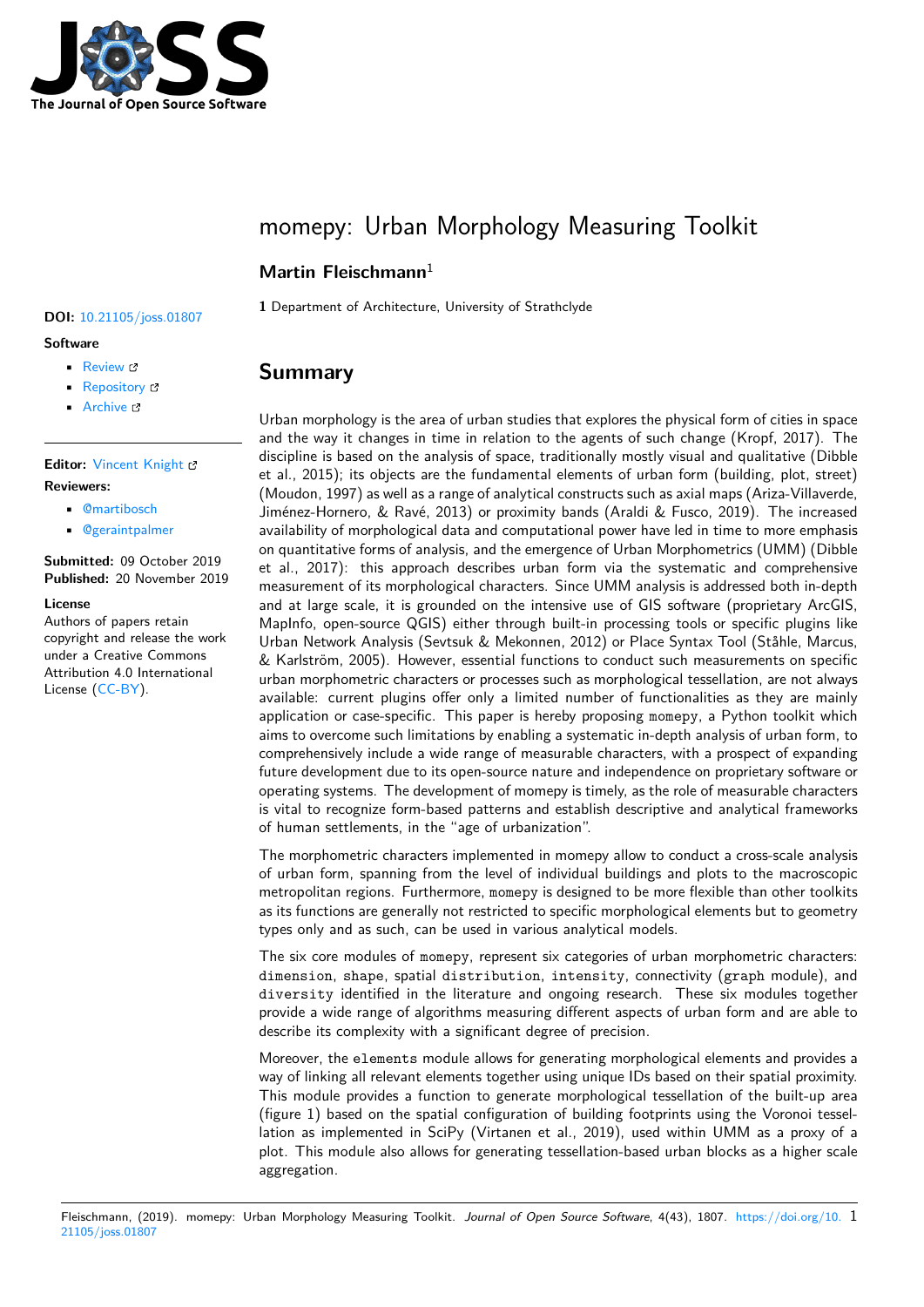

# momepy: Urban Morphology Measuring Toolkit

## **Martin Fleischmann**<sup>1</sup>

**DOI:** 10.21105/joss.01807

#### **Software**

- Review C
- [Repository](https://doi.org/10.21105/joss.01807) &
- Archive &

### **Editor:** [Vincent K](https://github.com/martinfleis/momepy)night & **Revie[wers:](https://doi.org/10.5281/zenodo.3544609)**

### • @martibosch

• @[geraintpalmer](https://vknight.org)

### **Submitted:** 09 October 2019 **Published:** [20 Nov](https://github.com/martibosch)ember 2019

#### **License**

Autho[rs of papers reta](https://github.com/geraintpalmer)in copyright and release the work under a Creative Commons Attribution 4.0 International License (CC-BY).

### **1** Department of Architecture, University of Strathclyde

# **Summary**

Urban morphology is the area of urban studies that explores the physical form of cities in space and the way it changes in time in relation to the agents of such change (Kropf, 2017). The discipline is based on the analysis of space, traditionally mostly visual and qualitative (Dibble et al., 2015); its objects are the fundamental elements of urban form (building, plot, street) (Moudon, 1997) as well as a range of analytical constructs such as axial maps (Ariza-Villaverde, Jiménez-Hornero, & Ravé, 2013) or proximity bands (Araldi & Fusco, 2019). The increased availability of morphological data and computational power have led in time to more emphasis on quantitative forms of analysis, and the emergence of Urban Morphometrics (UMM) (Dibble et al., 2017): this approach describes urban form via the systematic and comprehensive measurement of its morphological characters. Since UMM analysis is addressed both in-depth and at large scale, it is grounded on the intensive use of GIS software (proprietary ArcGIS, MapInfo, open-source QGIS) either through built-in processing tools or specific plugins like Urban Network Analysis (Sevtsuk & Mekonnen, 2012) or Place Syntax Tool (Ståhle, Marcus, & Karlström, 2005). However, essential functions to conduct such measurements on specific urban morphometric characters or processes such as morphological tessellation, are not always available: current plugins offer only a limited number of functionalities as they are mainly application or case-specific. This paper is hereby proposing momepy, a Python toolkit which aims to overcome such limitations by enabling a systematic in-depth analysis of urban form, to comprehensively include a wide range of measurable characters, with a prospect of expanding future development due to its open-source nature and independence on proprietary software or operating systems. The development of momepy is timely, as the role of measurable characters is vital to recognize form-based patterns and establish descriptive and analytical frameworks of human settlements, in the "age of urbanization".

The morphometric characters implemented in momepy allow to conduct a cross-scale analysis of urban form, spanning from the level of individual buildings and plots to the macroscopic metropolitan regions. Furthermore, momepy is designed to be more flexible than other toolkits as its functions are generally not restricted to specific morphological elements but to geometry types only and as such, can be used in various analytical models.

The six core modules of momepy, represent six categories of urban morphometric characters: dimension, shape, spatial distribution, intensity, connectivity (graph module), and diversity identified in the literature and ongoing research. These six modules together provide a wide range of algorithms measuring different aspects of urban form and are able to describe its complexity with a significant degree of precision.

Moreover, the elements module allows for generating morphological elements and provides a way of linking all relevant elements together using unique IDs based on their spatial proximity. This module provides a function to generate morphological tessellation of the built-up area (figure 1) based on the spatial configuration of building footprints using the Voronoi tessellation as implemented in SciPy (Virtanen et al., 2019), used within UMM as a proxy of a plot. This module also allows for generating tessellation-based urban blocks as a higher scale aggregation.

Fleischmann, (2019). momepy: Urban Morphology Measuring Toolkit. Journal of Open Source Software, 4(43), 1807. https://doi.org/10. 1 21105/joss.01807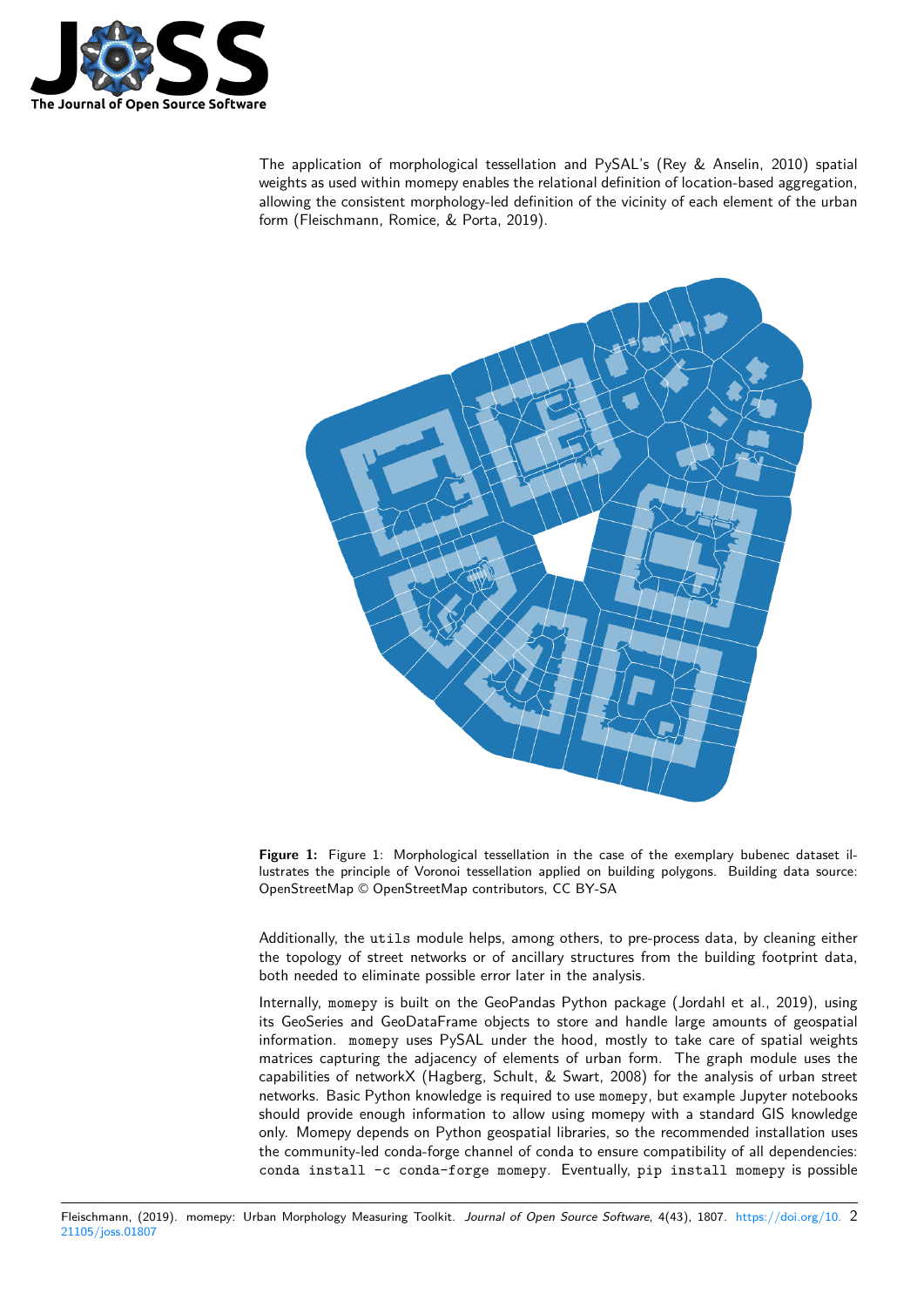

The application of morphological tessellation and PySAL's (Rey & Anselin, 2010) spatial weights as used within momepy enables the relational definition of location-based aggregation, allowing the consistent morphology-led definition of the vicinity of each element of the urban form (Fleischmann, Romice, & Porta, 2019).



**Figure 1:** Figure 1: Morphological tessellation in the case of the exemplary bubenec dataset illustrates the principle of Voronoi tessellation applied on building polygons. Building data source: OpenStreetMap © OpenStreetMap contributors, CC BY-SA

Additionally, the utils module helps, among others, to pre-process data, by cleaning either the topology of street networks or of ancillary structures from the building footprint data, both needed to eliminate possible error later in the analysis.

Internally, momepy is built on the GeoPandas Python package (Jordahl et al., 2019), using its GeoSeries and GeoDataFrame objects to store and handle large amounts of geospatial information. momepy uses PySAL under the hood, mostly to take care of spatial weights matrices capturing the adjacency of elements of urban form. The graph module uses the capabilities of networkX (Hagberg, Schult, & Swart, 2008) for the analysis of urban street networks. Basic Python knowledge is required to use momepy, but example Jupyter notebooks should provide enough information to allow using momepy with a standard GIS knowledge only. Momepy depends on Python geospatial libraries, so the recommended installation uses the community-led conda-forge channel of conda to ensure compatibility of all dependencies: conda install -c conda-forge momepy. Eventually, pip install momepy is possible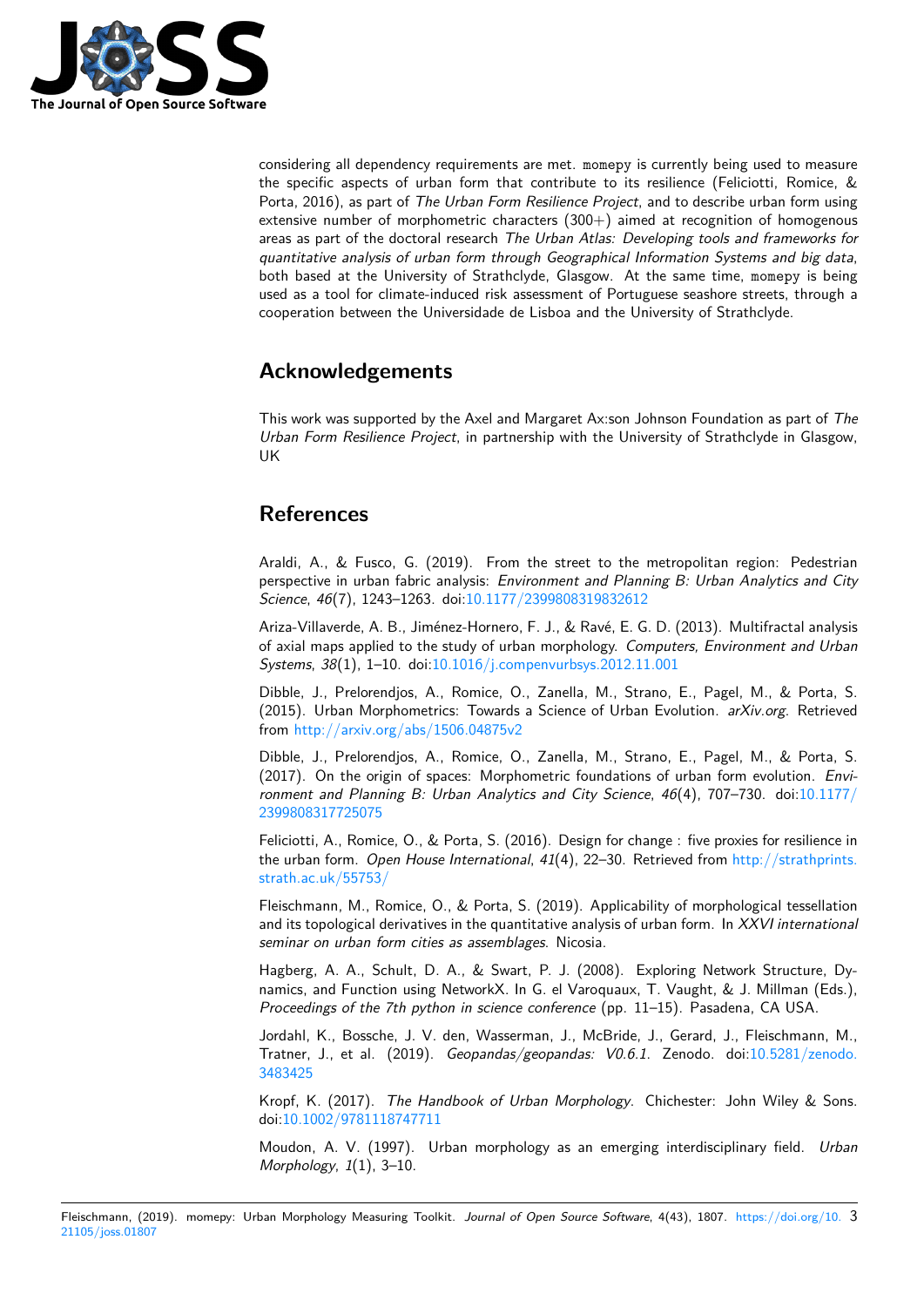

considering all dependency requirements are met. momepy is currently being used to measure the specific aspects of urban form that contribute to its resilience (Feliciotti, Romice, & Porta, 2016), as part of *The Urban Form Resilience Project*, and to describe urban form using extensive number of morphometric characters  $(300+)$  aimed at recognition of homogenous areas as part of the doctoral research *The Urban Atlas: Developing tools and frameworks for quantitative analysis of urban form through Geographical Information Systems and big data*, both based at the University of Strathclyde, Glasgow. At the same time, momepy is being used as a tool for climate-induced risk assessment of Portuguese seashore streets, through a cooperation between the Universidade de Lisboa and the University of Strathclyde.

# **Acknowledgements**

This work was supported by the Axel and Margaret Ax:son Johnson Foundation as part of *The Urban Form Resilience Project*, in partnership with the University of Strathclyde in Glasgow, UK

# **References**

Araldi, A., & Fusco, G. (2019). From the street to the metropolitan region: Pedestrian perspective in urban fabric analysis: *Environment and Planning B: Urban Analytics and City Science*, *46*(7), 1243–1263. doi:10.1177/2399808319832612

Ariza-Villaverde, A. B., Jiménez-Hornero, F. J., & Ravé, E. G. D. (2013). Multifractal analysis of axial maps applied to the study of urban morphology. *Computers, Environment and Urban Systems*, *38*(1), 1–10. doi:10.1[016/j.compenvurbsys.2012.11](https://doi.org/10.1177/2399808319832612).001

Dibble, J., Prelorendjos, A., Romice, O., Zanella, M., Strano, E., Pagel, M., & Porta, S. (2015). Urban Morphometrics: Towards a Science of Urban Evolution. *arXiv.org*. Retrieved from http://arxiv.org/abs[/1506.04875v2](https://doi.org/10.1016/j.compenvurbsys.2012.11.001)

Dibble, J., Prelorendjos, A., Romice, O., Zanella, M., Strano, E., Pagel, M., & Porta, S. (2017). On the origin of spaces: Morphometric foundations of urban form evolution. *Environm[ent and Planning B: Urban Analytic](http://arxiv.org/abs/1506.04875v2)s and City Science*, *46*(4), 707–730. doi:10.1177/ 2399808317725075

Feliciotti, A., Romice, O., & Porta, S. (2016). Design for change : five proxies for resilience in the urban form. *Open House International*, *41*(4), 22–30. Retrieved from http://str[athprints.](https://doi.org/10.1177/2399808317725075) [strath.ac.uk/55753/](https://doi.org/10.1177/2399808317725075)

Fleischmann, M., Romice, O., & Porta, S. (2019). Applicability of morphological tessellation and its topological derivatives in the quantitative analysis of urban form. In *[XXVI international](http://strathprints.strath.ac.uk/55753/) [seminar on urban for](http://strathprints.strath.ac.uk/55753/)m cities as assemblages*. Nicosia.

Hagberg, A. A., Schult, D. A., & Swart, P. J. (2008). Exploring Network Structure, Dynamics, and Function using NetworkX. In G. el Varoquaux, T. Vaught, & J. Millman (Eds.), *Proceedings of the 7th python in science conference* (pp. 11–15). Pasadena, CA USA.

Jordahl, K., Bossche, J. V. den, Wasserman, J., McBride, J., Gerard, J., Fleischmann, M., Tratner, J., et al. (2019). *Geopandas/geopandas: V0.6.1*. Zenodo. doi:10.5281/zenodo. 3483425

Kropf, K. (2017). *The Handbook of Urban Morphology*. Chichester: John Wiley & Sons. doi:10.1002/9781118747711

[Moudon,](https://doi.org/10.5281/zenodo.3483425) A. V. (1997). Urban morphology as an emerging interdisciplin[ary field.](https://doi.org/10.5281/zenodo.3483425) *Urban Morphology*, *1*(1), 3–10.